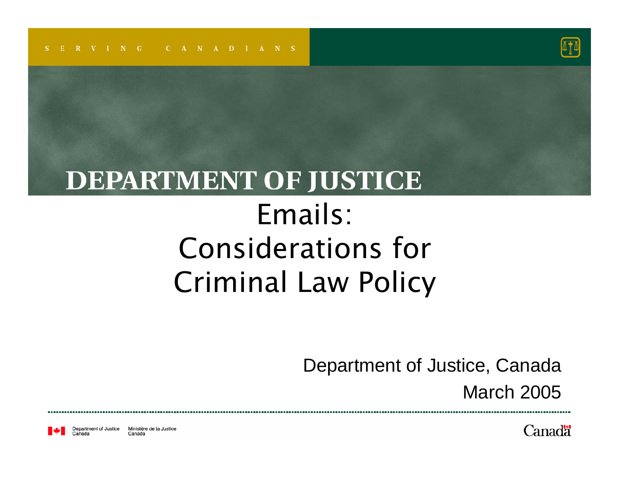

#### **DEPARTMENT OF JUSTICE** Emails: Considerations for Criminal Law Policy

Department of Justice, Canada

March 2005

Department of Justice Ministère de la Justice Canada

Canadä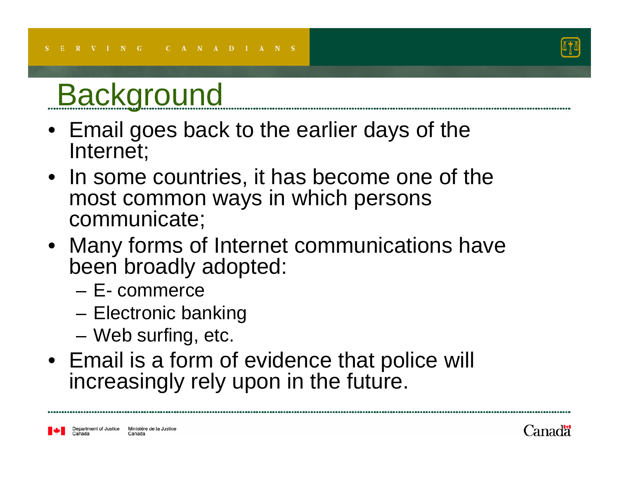

#### **Background**

- Email goes back to the earlier days of the Internet;
- In some countries, it has become one of the most common ways in which persons communicate;
- Many forms of Internet communications have been broadly adopted:
	- E- commerce
	- –Electronic banking
	- Web surfing, etc.
- Email is a form of evidence that police will increasingly rely upon in the future.

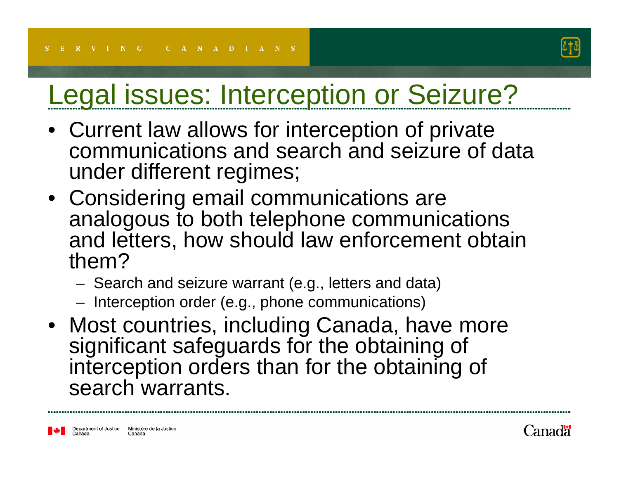

#### Legal issues: Interception or Seizure?

- Current law allows for interception of private communications and search and seizure of data under different regimes;
- Considering email communications are analogous to both telephone communications and letters, how should law enforcement obtain them?
	- Search and seizure warrant (e.g., letters and data)
	- Interception order (e.g., phone communications)
- Most countries, including Canada, have more significant safeguards for the obtaining of interception orders than for the obtaining of search warrants.

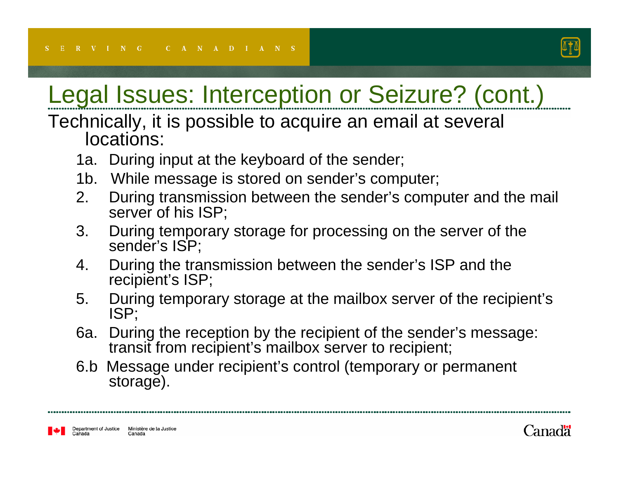

#### Legal Issues: Interception or Seizure? (cont.)

#### Technically, it is possible to acquire an email at several locations:

- 1a. During input at the keyboard of the sender;
- 1b. While message is stored on sender's computer;
- 2. During transmission between the sender's computer and the mail server of his ISP;
- 3. During temporary storage for processing on the server of the sender's ISP;
- 4. During the transmission between the sender's ISP and the recipient's ISP;
- 5. During temporary storage at the mailbox server of the recipient's ISP;
- 6a. During the reception by the recipient of the sender's message: transit from recipient's mailbox server to recipient;
- 6.b Message under recipient's control (temporary or permanent storage).

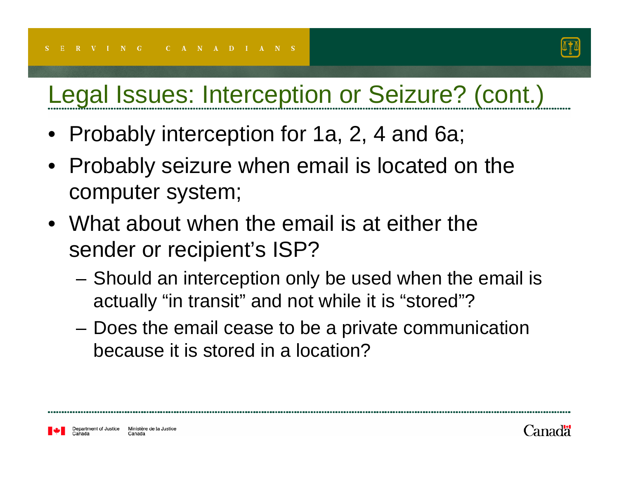

#### Legal Issues: Interception or Seizure? (cont.)

- Probably interception for 1a, 2, 4 and 6a;
- Probably seizure when email is located on the computer system;
- What about when the email is at either the sender or recipient's ISP?
	- Should an interception only be used when the email is actually "in transit" and not while it is "stored"?
	- Does the email cease to be a private communication because it is stored in a location?

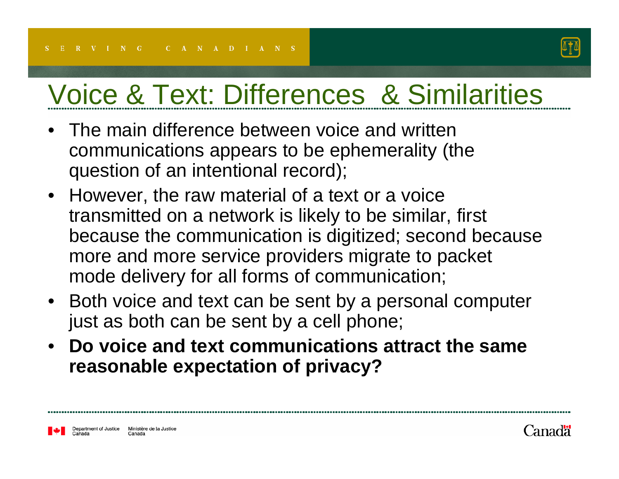

### Voice & Text: Differences & Similarities

- • The main difference between voice and written communications appears to be ephemerality (the question of an intentional record);
- However, the raw material of a text or a voice transmitted on a network is likely to be similar, first because the communication is digitized; second because more and more service providers migrate to packet mode delivery for all forms of communication;
- Both voice and text can be sent by a personal computer just as both can be sent by a cell phone;
- $\bullet$  **Do voice and text communications attract the same reasonable expectation of privacy?**

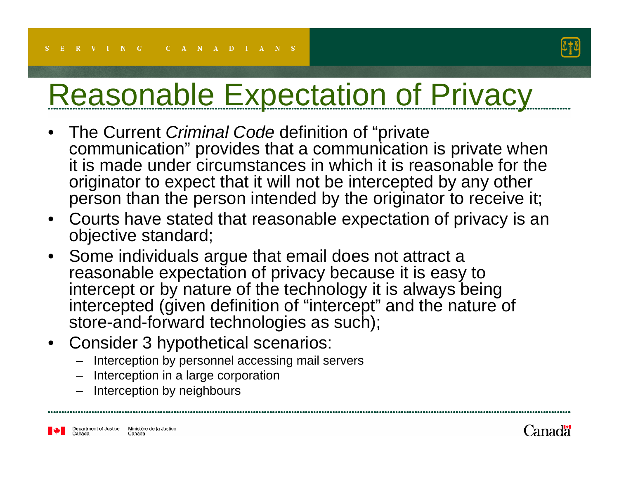

# Reasonable Expectation of Privacy

- $\bullet$  The Current *Criminal Code* definition of "private communication" provides that a communication is private when it is made under circumstances in which it is reasonable for theoriginator to expect that it will not be intercepted by any other person than the person intended by the originator to receive it;
- $\bullet$  Courts have stated that reasonable expectation of privacy is an objective standard;
- $\bullet$  Some individuals argue that email does not attract a reasonable expectation of privacy because it is easy to intercept or by nature of the technology it is always being intercepted (given definition of "intercept" and the nature of store-and-forward technologies as such);
- $\bullet$  Consider 3 hypothetical scenarios:
	- –Interception by personnel accessing mail servers
	- Interception in a large corporation
	- Interception by neighbours

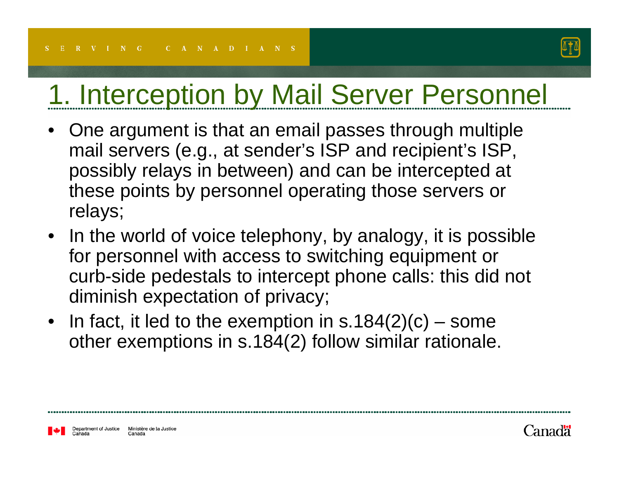

#### 1. Interception by Mail Server Personnel

- • One argument is that an email passes through multiple mail servers (e.g., at sender's ISP and recipient's ISP, possibly relays in between) and can be intercepted at these points by personnel operating those servers or relays;
- In the world of voice telephony, by analogy, it is possible for personnel with access to switching equipment or curb-side pedestals to intercept phone calls: this did not diminish expectation of privacy;
- In fact, it led to the exemption in  $s.184(2)(c)$  some other exemptions in s.184(2) follow similar rationale.

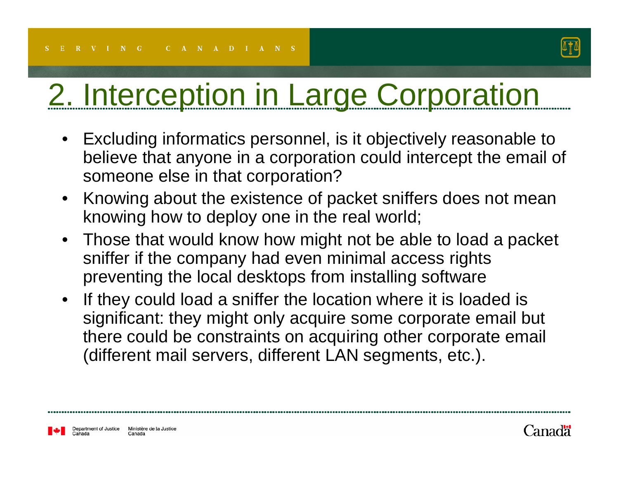

# 2. Interception in Large Corporation

- Excluding informatics personnel, is it objectively reasonable to believe that anyone in a corporation could intercept the email of someone else in that corporation?
- Knowing about the existence of packet sniffers does not mean knowing how to deploy one in the real world;
- Those that would know how might not be able to load a packet sniffer if the company had even minimal access rights preventing the local desktops from installing software
- If they could load a sniffer the location where it is loaded is significant: they might only acquire some corporate email but there could be constraints on acquiring other corporate email (different mail servers, different LAN segments, etc.).

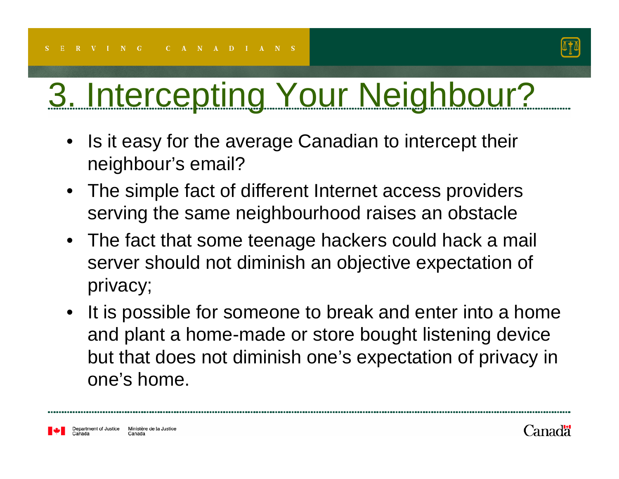

# 3. Intercepting Your Neighbour?

- • Is it easy for the average Canadian to intercept their neighbour's email?
- The simple fact of different Internet access providers serving the same neighbourhood raises an obstacle
- The fact that some teenage hackers could hack a mail server should not diminish an objective expectation of privacy;
- • It is possible for someone to break and enter into a home and plant a home-made or store bought listening device but that does not diminish one's expectation of privacy in one's home.

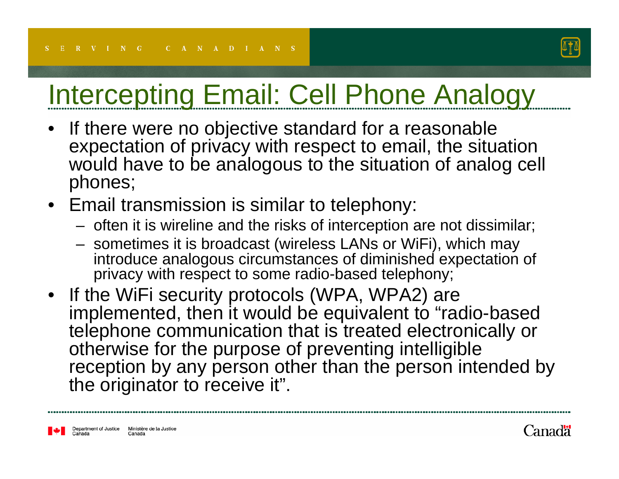

### Intercepting Email: Cell Phone Analogy

- • If there were no objective standard for a reasonable expectation of privacy with respect to email, the situation would have to be analogous to the situation of analog cell phones;
- Email transmission is similar to telephony:
	- often it is wireline and the risks of interception are not dissimilar;
	- sometimes it is broadcast (wireless LANs or WiFi), which may introduce analogous circumstances of diminished expectation of privacy with respect to some radio-based telephony;
- If the WiFi security protocols (WPA, WPA2) are implemented, then it would be equivalent to "radio-based telephone communication that is treated electronically or otherwise for the purpose of preventing intelligible reception by any person other than the person intended by the originator to receive it".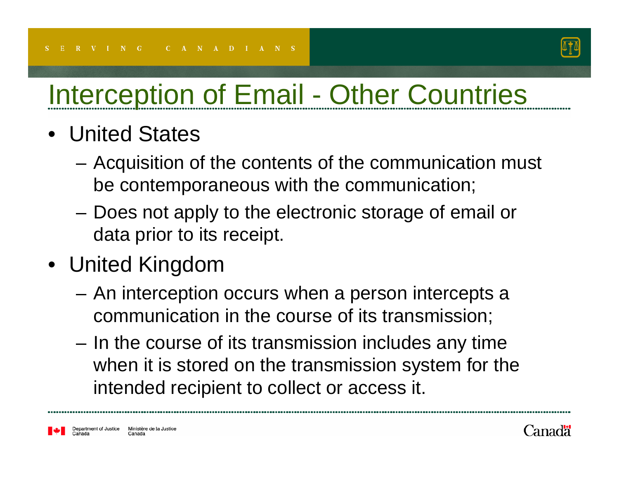

## Interception of Email - Other Countries

- United States
	- – Acquisition of the contents of the communication must be contemporaneous with the communication;
	- Does not apply to the electronic storage of email or data prior to its receipt.
- United Kingdom
	- An interception occurs when a person intercepts a communication in the course of its transmission;
	- In the course of its transmission includes any time when it is stored on the transmission system for the intended recipient to collect or access it.

Ministère de la Justice Department of Justice Canada

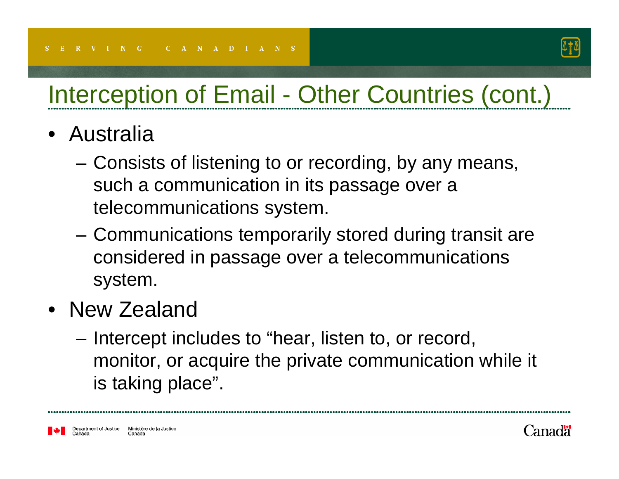

#### Interception of Email - Other Countries (cont.)

- Australia
	- – Consists of listening to or recording, by any means, such a communication in its passage over a telecommunications system.
	- Communications temporarily stored during transit are considered in passage over a telecommunications system.
- New Zealand
	- – Intercept includes to "hear, listen to, or record, monitor, or acquire the private communication while it is taking place".

Ministère de la Justice Department of Justice Canada